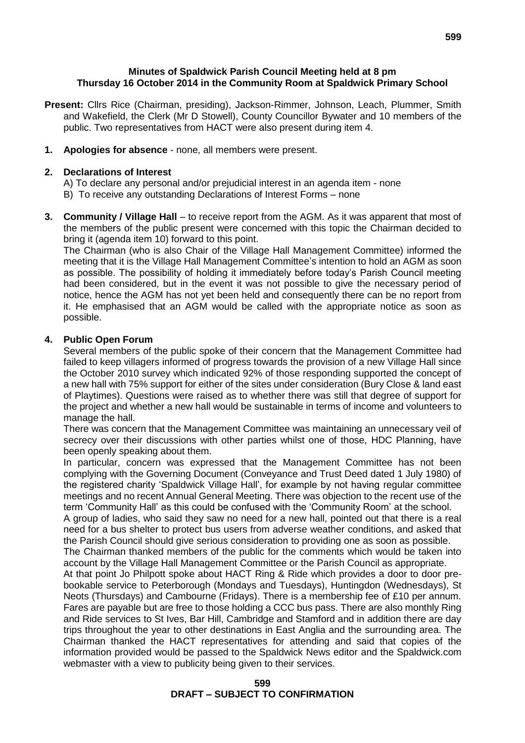#### **Minutes of Spaldwick Parish Council Meeting held at 8 pm Thursday 16 October 2014 in the Community Room at Spaldwick Primary School**

- **Present:** Cllrs Rice (Chairman, presiding), Jackson-Rimmer, Johnson, Leach, Plummer, Smith and Wakefield, the Clerk (Mr D Stowell), County Councillor Bywater and 10 members of the public. Two representatives from HACT were also present during item 4.
- **1. Apologies for absence** none, all members were present.

#### **2. Declarations of Interest**

A) To declare any personal and/or prejudicial interest in an agenda item - none

B) To receive any outstanding Declarations of Interest Forms – none

**3. Community / Village Hall** – to receive report from the AGM. As it was apparent that most of the members of the public present were concerned with this topic the Chairman decided to bring it (agenda item 10) forward to this point.

The Chairman (who is also Chair of the Village Hall Management Committee) informed the meeting that it is the Village Hall Management Committee's intention to hold an AGM as soon as possible. The possibility of holding it immediately before today's Parish Council meeting had been considered, but in the event it was not possible to give the necessary period of notice, hence the AGM has not yet been held and consequently there can be no report from it. He emphasised that an AGM would be called with the appropriate notice as soon as possible.

### **4. Public Open Forum**

Several members of the public spoke of their concern that the Management Committee had failed to keep villagers informed of progress towards the provision of a new Village Hall since the October 2010 survey which indicated 92% of those responding supported the concept of a new hall with 75% support for either of the sites under consideration (Bury Close & land east of Playtimes). Questions were raised as to whether there was still that degree of support for the project and whether a new hall would be sustainable in terms of income and volunteers to manage the hall.

There was concern that the Management Committee was maintaining an unnecessary veil of secrecy over their discussions with other parties whilst one of those. HDC Planning, have been openly speaking about them.

In particular, concern was expressed that the Management Committee has not been complying with the Governing Document (Conveyance and Trust Deed dated 1 July 1980) of the registered charity 'Spaldwick Village Hall', for example by not having regular committee meetings and no recent Annual General Meeting. There was objection to the recent use of the term 'Community Hall' as this could be confused with the 'Community Room' at the school. A group of ladies, who said they saw no need for a new hall, pointed out that there is a real need for a bus shelter to protect bus users from adverse weather conditions, and asked that the Parish Council should give serious consideration to providing one as soon as possible. The Chairman thanked members of the public for the comments which would be taken into account by the Village Hall Management Committee or the Parish Council as appropriate. At that point Jo Philpott spoke about HACT Ring & Ride which provides a door to door prebookable service to Peterborough (Mondays and Tuesdays), Huntingdon (Wednesdays), St Neots (Thursdays) and Cambourne (Fridays). There is a membership fee of £10 per annum. Fares are payable but are free to those holding a CCC bus pass. There are also monthly Ring and Ride services to St Ives, Bar Hill, Cambridge and Stamford and in addition there are day trips throughout the year to other destinations in East Anglia and the surrounding area. The Chairman thanked the HACT representatives for attending and said that copies of the information provided would be passed to the Spaldwick News editor and the Spaldwick.com webmaster with a view to publicity being given to their services.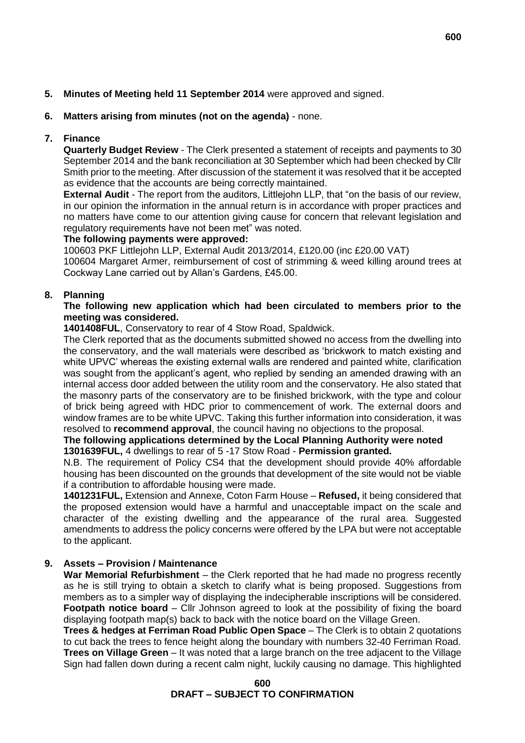# **6. Matters arising from minutes (not on the agenda)** - none.

# **7. Finance**

**Quarterly Budget Review** - The Clerk presented a statement of receipts and payments to 30 September 2014 and the bank reconciliation at 30 September which had been checked by Cllr Smith prior to the meeting. After discussion of the statement it was resolved that it be accepted as evidence that the accounts are being correctly maintained.

**External Audit** - The report from the auditors, Littlejohn LLP, that "on the basis of our review, in our opinion the information in the annual return is in accordance with proper practices and no matters have come to our attention giving cause for concern that relevant legislation and regulatory requirements have not been met" was noted.

## **The following payments were approved:**

100603 PKF Littlejohn LLP, External Audit 2013/2014, £120.00 (inc £20.00 VAT) 100604 Margaret Armer, reimbursement of cost of strimming & weed killing around trees at Cockway Lane carried out by Allan's Gardens, £45.00.

# **8. Planning**

### **The following new application which had been circulated to members prior to the meeting was considered.**

**1401408FUL**, Conservatory to rear of 4 Stow Road, Spaldwick.

The Clerk reported that as the documents submitted showed no access from the dwelling into the conservatory, and the wall materials were described as 'brickwork to match existing and white UPVC' whereas the existing external walls are rendered and painted white, clarification was sought from the applicant's agent, who replied by sending an amended drawing with an internal access door added between the utility room and the conservatory. He also stated that the masonry parts of the conservatory are to be finished brickwork, with the type and colour of brick being agreed with HDC prior to commencement of work. The external doors and window frames are to be white UPVC. Taking this further information into consideration, it was resolved to **recommend approval**, the council having no objections to the proposal.

### **The following applications determined by the Local Planning Authority were noted 1301639FUL,** 4 dwellings to rear of 5 -17 Stow Road - **Permission granted.**

N.B. The requirement of Policy CS4 that the development should provide 40% affordable housing has been discounted on the grounds that development of the site would not be viable if a contribution to affordable housing were made.

**1401231FUL,** Extension and Annexe, Coton Farm House – **Refused,** it being considered that the proposed extension would have a harmful and unacceptable impact on the scale and character of the existing dwelling and the appearance of the rural area. Suggested amendments to address the policy concerns were offered by the LPA but were not acceptable to the applicant.

## **9. Assets – Provision / Maintenance**

**War Memorial Refurbishment** – the Clerk reported that he had made no progress recently as he is still trying to obtain a sketch to clarify what is being proposed. Suggestions from members as to a simpler way of displaying the indecipherable inscriptions will be considered. **Footpath notice board** – Cllr Johnson agreed to look at the possibility of fixing the board displaying footpath map(s) back to back with the notice board on the Village Green.

**Trees & hedges at Ferriman Road Public Open Space** – The Clerk is to obtain 2 quotations to cut back the trees to fence height along the boundary with numbers 32-40 Ferriman Road. **Trees on Village Green** – It was noted that a large branch on the tree adjacent to the Village Sign had fallen down during a recent calm night, luckily causing no damage. This highlighted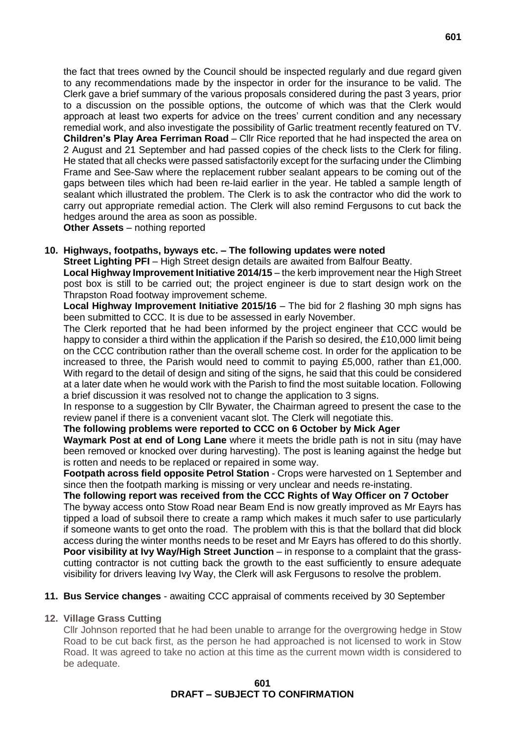the fact that trees owned by the Council should be inspected regularly and due regard given to any recommendations made by the inspector in order for the insurance to be valid. The Clerk gave a brief summary of the various proposals considered during the past 3 years, prior to a discussion on the possible options, the outcome of which was that the Clerk would approach at least two experts for advice on the trees' current condition and any necessary remedial work, and also investigate the possibility of Garlic treatment recently featured on TV. **Children's Play Area Ferriman Road** – Cllr Rice reported that he had inspected the area on 2 August and 21 September and had passed copies of the check lists to the Clerk for filing. He stated that all checks were passed satisfactorily except for the surfacing under the Climbing Frame and See-Saw where the replacement rubber sealant appears to be coming out of the gaps between tiles which had been re-laid earlier in the year. He tabled a sample length of sealant which illustrated the problem. The Clerk is to ask the contractor who did the work to carry out appropriate remedial action. The Clerk will also remind Fergusons to cut back the hedges around the area as soon as possible.

**Other Assets** – nothing reported

### **10. Highways, footpaths, byways etc. – The following updates were noted**

**Street Lighting PFI** – High Street design details are awaited from Balfour Beatty. **Local Highway Improvement Initiative 2014/15** – the kerb improvement near the High Street post box is still to be carried out; the project engineer is due to start design work on the Thrapston Road footway improvement scheme.

**Local Highway Improvement Initiative 2015/16** – The bid for 2 flashing 30 mph signs has been submitted to CCC. It is due to be assessed in early November.

The Clerk reported that he had been informed by the project engineer that CCC would be happy to consider a third within the application if the Parish so desired, the £10,000 limit being on the CCC contribution rather than the overall scheme cost. In order for the application to be increased to three, the Parish would need to commit to paying £5,000, rather than £1,000. With regard to the detail of design and siting of the signs, he said that this could be considered at a later date when he would work with the Parish to find the most suitable location. Following a brief discussion it was resolved not to change the application to 3 signs.

In response to a suggestion by Cllr Bywater, the Chairman agreed to present the case to the review panel if there is a convenient vacant slot. The Clerk will negotiate this.

### **The following problems were reported to CCC on 6 October by Mick Ager**

**Waymark Post at end of Long Lane** where it meets the bridle path is not in situ (may have been removed or knocked over during harvesting). The post is leaning against the hedge but is rotten and needs to be replaced or repaired in some way.

**Footpath across field opposite Petrol Station** - Crops were harvested on 1 September and since then the footpath marking is missing or very unclear and needs re-instating.

### **The following report was received from the CCC Rights of Way Officer on 7 October**

The byway access onto Stow Road near Beam End is now greatly improved as Mr Eayrs has tipped a load of subsoil there to create a ramp which makes it much safer to use particularly if someone wants to get onto the road. The problem with this is that the bollard that did block access during the winter months needs to be reset and Mr Eayrs has offered to do this shortly. **Poor visibility at Ivy Way/High Street Junction** – in response to a complaint that the grasscutting contractor is not cutting back the growth to the east sufficiently to ensure adequate visibility for drivers leaving Ivy Way, the Clerk will ask Fergusons to resolve the problem.

### **11. Bus Service changes** - awaiting CCC appraisal of comments received by 30 September

### **12. Village Grass Cutting**

Cllr Johnson reported that he had been unable to arrange for the overgrowing hedge in Stow Road to be cut back first, as the person he had approached is not licensed to work in Stow Road. It was agreed to take no action at this time as the current mown width is considered to be adequate.